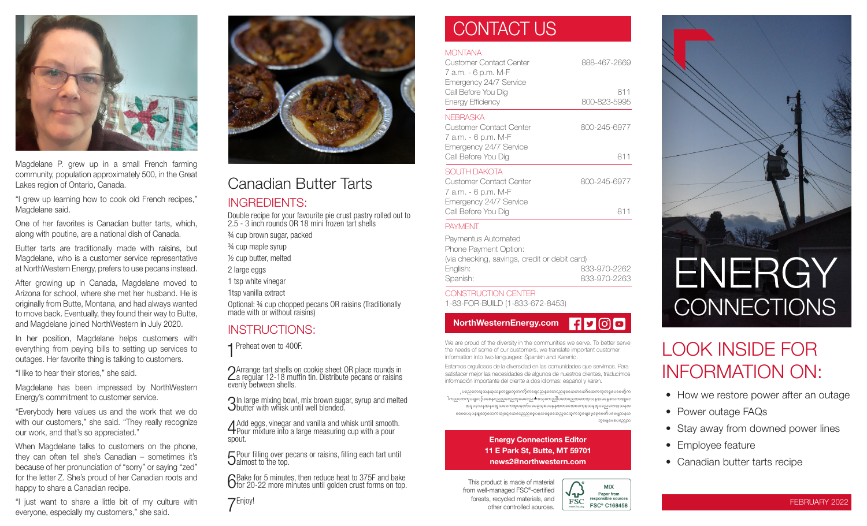

Magdelane P. grew up in a small French farming community, population approximately 500, in the Great Lakes region of Ontario, Canada.

"I grew up learning how to cook old French recipes," Magdelane said.

One of her favorites is Canadian butter tarts, which, along with poutine, are a national dish of Canada.

Butter tarts are traditionally made with raisins, but Magdelane, who is a customer service representative at NorthWestern Energy, prefers to use pecans instead.

After growing up in Canada, Magdelane moved to Arizona for school, where she met her husband. He is originally from Butte, Montana, and had always wanted to move back. Eventually, they found their way to Butte, and Magdelane joined NorthWestern in July 2020.

In her position, Magdelane helps customers with everything from paying bills to setting up services to outages. Her favorite thing is talking to customers.

"I like to hear their stories," she said.

Magdelane has been impressed by NorthWestern Energy's commitment to customer service.

"Everybody here values us and the work that we do with our customers," she said. "They really recognize our work, and that's so appreciated."

When Magdelane talks to customers on the phone, they can often tell she's Canadian – sometimes it's because of her pronunciation of "sorry" or saying "zed" for the letter Z. She's proud of her Canadian roots and happy to share a Canadian recipe.

"I just want to share a little bit of my culture with everyone, especially my customers," she said.



## Canadian Butter Tarts

## INGREDIENTS:

Double recipe for your favourite pie crust pastry rolled out to 2.5 - 3 inch rounds OR 18 mini frozen tart shells

¾ cup brown sugar, packed

¾ cup maple syrup

½ cup butter, melted

2 large eggs

1 tsp white vinegar

1tsp vanilla extract

Optional: ¾ cup chopped pecans OR raisins (Traditionally made with or without raisins)

## INSTRUCTIONS:

**1** Preheat oven to 400F.

2Arrange tart shells on cookie sheet OR place rounds in  $\angle$ a regular 12-18 muffin tin. Distribute pecans or raisins evenly between shells.

3In large mixing bowl, mix brown sugar, syrup and melted butter with whisk until well blended.

4Add eggs, vinegar and vanilla and whisk until smooth. Pour mixture into a large measuring cup with a pour spout.

 $\sqrt{5}$  Pour filling over pecans or raisins, filling each tart until  $\mathbf{\dot{U}}$ almost to the top.

GBake for 5 minutes, then reduce heat to 375F and bake<br>Ofor 20-22 more minutes until golden crust forms on top.

7Enjoy!

## CONTACT US

## **MONTANA**

| Customer Contact Center<br>7 a.m. - 6 p.m. M-F                                                              | 888-467-2669        |
|-------------------------------------------------------------------------------------------------------------|---------------------|
| Emergency 24/7 Service<br>Call Before You Dig<br>Energy Efficiency                                          | 811<br>800-823-5995 |
| NFBRASKA<br>Customer Contact Center<br>7 a.m. - 6 p.m. M-F<br>Emergency 24/7 Service<br>Call Before You Dig | 800-245-6977<br>811 |
| SOUTH DAKOTA<br>Customer Contact Center<br>7 a.m. - 6 p.m. M-F<br>Emergency 24/7 Service                    | 800-245-6977        |
| Call Before You Dig                                                                                         | 811                 |
| <b>PAYMENT</b>                                                                                              |                     |

### Paymentus Automated Phone Payment Option: (via checking, savings, credit or debit card) English: 833-970-2262 Spanish: 833-970-2263

### CONSTRUCTION CENTER

1-83-FOR-BUILD (1-833-672-8453)

#### $H$ y $\odot$ d NorthWesternEnergy.com

We are proud of the diversity in the communities we serve. To better serve the needs of some of our customers, we translate important customer information into two languages: Spanish and Karenic.

Estamos orgullosos de la diversidad en las comunidades que servimos. Para satisfacer mejor las necesidades de algunos de nuestros clientes, traducimos información importante del cliente a dos idiomas: español y karen.

ုပညေတေအ့သနအုသနတၡုတေူကကာ့်ကရေျငညနတေေငညနအေေအာအော်အောကကုတဓူစပမေမာ့်က lကညပကကုပဓျငော့်ခစေနငညည့လေညအုမေငေည $\bigstar$ စသုကေည $\mathbb I$ ပတေညေအတေအုသနအမနေစသကအျငေ အဓူပဓူသနအနအေေသကောအူပနအာ်ပမေမှသူစပနေနအတတေေစပကုစ္စသနအုပညေတေအူသနအ aaမပေပုပနနျတေ့စသကအျငျေအေငေညညငွေပနအနေ့ခေအညှငေအုကဘ့မျေနေ့ခေမေမ်ာ်ပမေမျှသနအ

bharsarpyanso

**MIX** 

Paper from responsible sources

**FSC® C168458** 

( ג−

**FSC** 

### Energy Connections Editor 11 E Park St, Butte, MT 59701 news2@northwestern.com

This product is made of material from well-managed FSC®-certified forests, recycled materials, and other controlled sources.



## LOOK INSIDE FOR INFORMATION ON:

- How we restore power after an outage
- Power outage FAQs
- Stay away from downed power lines
- Employee feature
- Canadian butter tarts recipe